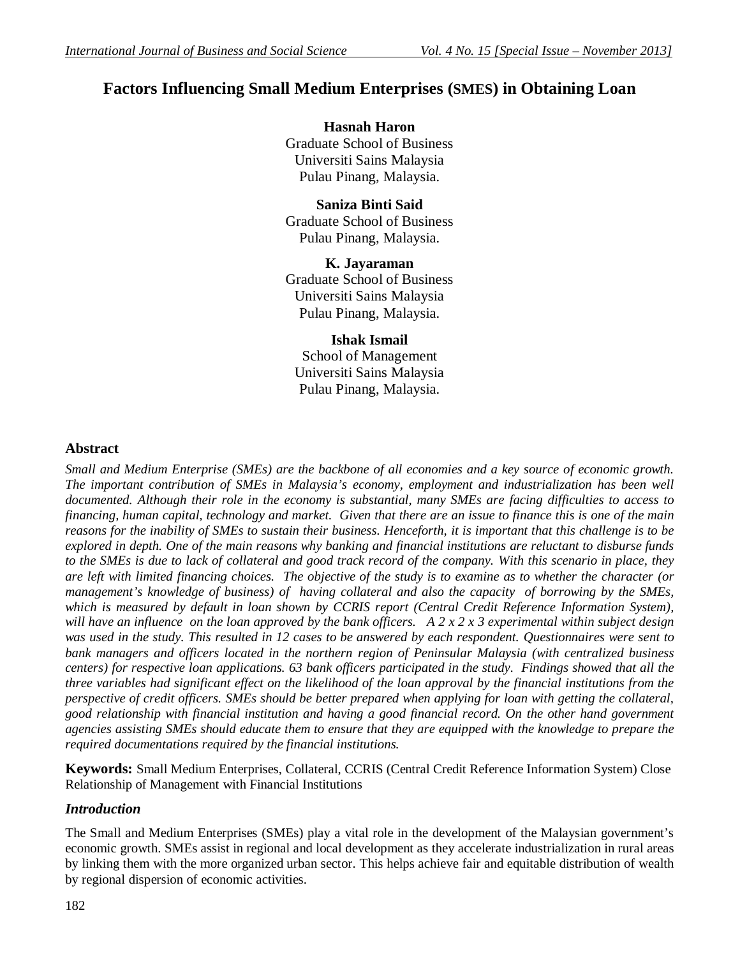# **Factors Influencing Small Medium Enterprises (SMES) in Obtaining Loan**

**Hasnah Haron** Graduate School of Business Universiti Sains Malaysia Pulau Pinang, Malaysia.

# **Saniza Binti Said**

Graduate School of Business Pulau Pinang, Malaysia.

**K. Jayaraman** Graduate School of Business Universiti Sains Malaysia Pulau Pinang, Malaysia.

**Ishak Ismail** School of Management Universiti Sains Malaysia Pulau Pinang, Malaysia.

# **Abstract**

*Small and Medium Enterprise (SMEs) are the backbone of all economies and a key source of economic growth. The important contribution of SMEs in Malaysia's economy, employment and industrialization has been well documented. Although their role in the economy is substantial, many SMEs are facing difficulties to access to financing, human capital, technology and market. Given that there are an issue to finance this is one of the main reasons for the inability of SMEs to sustain their business. Henceforth, it is important that this challenge is to be explored in depth. One of the main reasons why banking and financial institutions are reluctant to disburse funds to the SMEs is due to lack of collateral and good track record of the company. With this scenario in place, they are left with limited financing choices. The objective of the study is to examine as to whether the character (or management's knowledge of business) of having collateral and also the capacity of borrowing by the SMEs, which is measured by default in loan shown by CCRIS report (Central Credit Reference Information System), will have an influence on the loan approved by the bank officers. A 2 x 2 x 3 experimental within subject design was used in the study. This resulted in 12 cases to be answered by each respondent. Questionnaires were sent to bank managers and officers located in the northern region of Peninsular Malaysia (with centralized business centers) for respective loan applications. 63 bank officers participated in the study. Findings showed that all the three variables had significant effect on the likelihood of the loan approval by the financial institutions from the perspective of credit officers. SMEs should be better prepared when applying for loan with getting the collateral, good relationship with financial institution and having a good financial record. On the other hand government agencies assisting SMEs should educate them to ensure that they are equipped with the knowledge to prepare the required documentations required by the financial institutions.* 

**Keywords:** Small Medium Enterprises, Collateral, CCRIS (Central Credit Reference Information System) Close Relationship of Management with Financial Institutions

# *Introduction*

The Small and Medium Enterprises (SMEs) play a vital role in the development of the Malaysian government's economic growth. SMEs assist in regional and local development as they accelerate industrialization in rural areas by linking them with the more organized urban sector. This helps achieve fair and equitable distribution of wealth by regional dispersion of economic activities.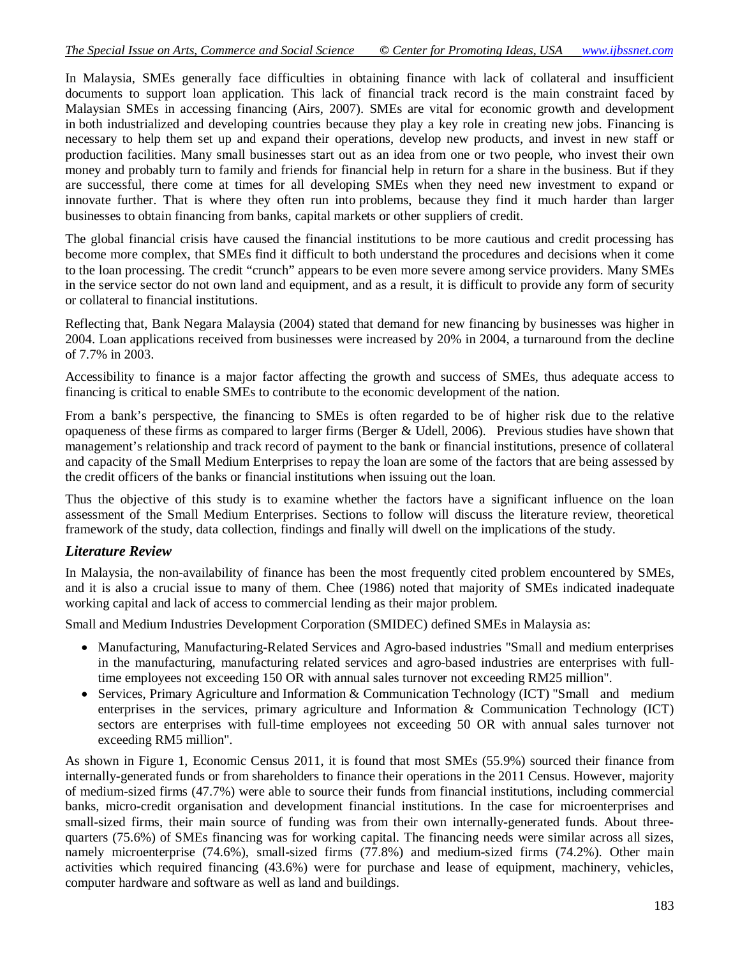In Malaysia, SMEs generally face difficulties in obtaining finance with lack of collateral and insufficient documents to support loan application. This lack of financial track record is the main constraint faced by Malaysian SMEs in accessing financing (Airs, 2007). SMEs are vital for economic growth and development in both industrialized and developing countries because they play a key role in creating new jobs. Financing is necessary to help them set up and expand their operations, develop new products, and invest in new staff or production facilities. Many small businesses start out as an idea from one or two people, who invest their own money and probably turn to family and friends for financial help in return for a share in the business. But if they are successful, there come at times for all developing SMEs when they need new investment to expand or innovate further. That is where they often run into problems, because they find it much harder than larger businesses to obtain financing from banks, capital markets or other suppliers of credit.

The global financial crisis have caused the financial institutions to be more cautious and credit processing has become more complex, that SMEs find it difficult to both understand the procedures and decisions when it come to the loan processing. The credit "crunch" appears to be even more severe among service providers. Many SMEs in the service sector do not own land and equipment, and as a result, it is difficult to provide any form of security or collateral to financial institutions.

Reflecting that, Bank Negara Malaysia (2004) stated that demand for new financing by businesses was higher in 2004. Loan applications received from businesses were increased by 20% in 2004, a turnaround from the decline of 7.7% in 2003.

Accessibility to finance is a major factor affecting the growth and success of SMEs, thus adequate access to financing is critical to enable SMEs to contribute to the economic development of the nation.

From a bank's perspective, the financing to SMEs is often regarded to be of higher risk due to the relative opaqueness of these firms as compared to larger firms (Berger & Udell, 2006). Previous studies have shown that management's relationship and track record of payment to the bank or financial institutions, presence of collateral and capacity of the Small Medium Enterprises to repay the loan are some of the factors that are being assessed by the credit officers of the banks or financial institutions when issuing out the loan.

Thus the objective of this study is to examine whether the factors have a significant influence on the loan assessment of the Small Medium Enterprises. Sections to follow will discuss the literature review, theoretical framework of the study, data collection, findings and finally will dwell on the implications of the study.

### *Literature Review*

In Malaysia, the non-availability of finance has been the most frequently cited problem encountered by SMEs, and it is also a crucial issue to many of them. Chee (1986) noted that majority of SMEs indicated inadequate working capital and lack of access to commercial lending as their major problem.

Small and Medium Industries Development Corporation (SMIDEC) defined SMEs in Malaysia as:

- Manufacturing, Manufacturing-Related Services and Agro-based industries "Small and medium enterprises in the manufacturing, manufacturing related services and agro-based industries are enterprises with fulltime employees not exceeding 150 OR with annual sales turnover not exceeding RM25 million".
- Services, Primary Agriculture and Information & Communication Technology (ICT) "Small and medium enterprises in the services, primary agriculture and Information & Communication Technology (ICT) sectors are enterprises with full-time employees not exceeding 50 OR with annual sales turnover not exceeding RM5 million".

As shown in Figure 1, Economic Census 2011, it is found that most SMEs (55.9%) sourced their finance from internally-generated funds or from shareholders to finance their operations in the 2011 Census. However, majority of medium-sized firms (47.7%) were able to source their funds from financial institutions, including commercial banks, micro-credit organisation and development financial institutions. In the case for microenterprises and small-sized firms, their main source of funding was from their own internally-generated funds. About threequarters (75.6%) of SMEs financing was for working capital. The financing needs were similar across all sizes, namely microenterprise (74.6%), small-sized firms (77.8%) and medium-sized firms (74.2%). Other main activities which required financing (43.6%) were for purchase and lease of equipment, machinery, vehicles, computer hardware and software as well as land and buildings.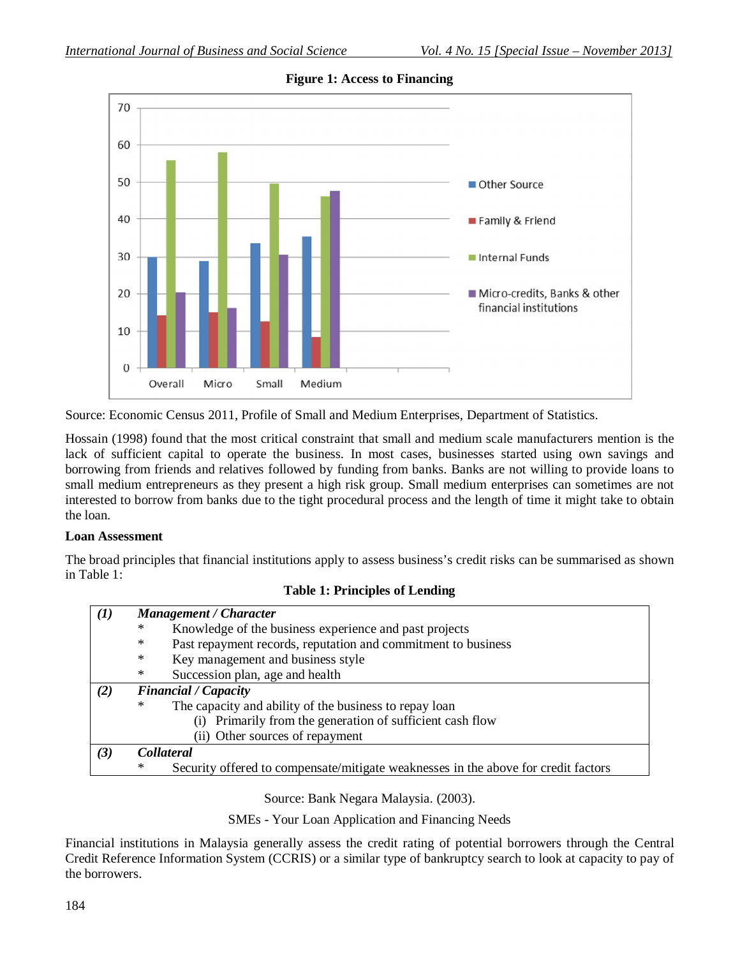

**Figure 1: Access to Financing**

Source: Economic Census 2011, Profile of Small and Medium Enterprises, Department of Statistics.

Hossain (1998) found that the most critical constraint that small and medium scale manufacturers mention is the lack of sufficient capital to operate the business. In most cases, businesses started using own savings and borrowing from friends and relatives followed by funding from banks. Banks are not willing to provide loans to small medium entrepreneurs as they present a high risk group. Small medium enterprises can sometimes are not interested to borrow from banks due to the tight procedural process and the length of time it might take to obtain the loan.

#### **Loan Assessment**

The broad principles that financial institutions apply to assess business's credit risks can be summarised as shown in Table 1:

|  |  | <b>Table 1: Principles of Lending</b> |
|--|--|---------------------------------------|
|--|--|---------------------------------------|

| (I) |                                                                    | Management / Character                                                             |  |  |  |
|-----|--------------------------------------------------------------------|------------------------------------------------------------------------------------|--|--|--|
|     | ∗                                                                  | Knowledge of the business experience and past projects                             |  |  |  |
|     | Past repayment records, reputation and commitment to business<br>∗ |                                                                                    |  |  |  |
|     | ∗                                                                  | Key management and business style                                                  |  |  |  |
|     | ∗                                                                  | Succession plan, age and health                                                    |  |  |  |
| (2) | <b>Financial</b> / Capacity                                        |                                                                                    |  |  |  |
|     | ∗                                                                  | The capacity and ability of the business to repay loan                             |  |  |  |
|     |                                                                    | (i) Primarily from the generation of sufficient cash flow                          |  |  |  |
|     |                                                                    | (ii) Other sources of repayment                                                    |  |  |  |
| (3) |                                                                    | <b>Collateral</b>                                                                  |  |  |  |
|     | ∗                                                                  | Security offered to compensate/mitigate weaknesses in the above for credit factors |  |  |  |

Source: Bank Negara Malaysia. (2003).

SMEs - Your Loan Application and Financing Needs

Financial institutions in Malaysia generally assess the credit rating of potential borrowers through the Central Credit Reference Information System (CCRIS) or a similar type of bankruptcy search to look at capacity to pay of the borrowers.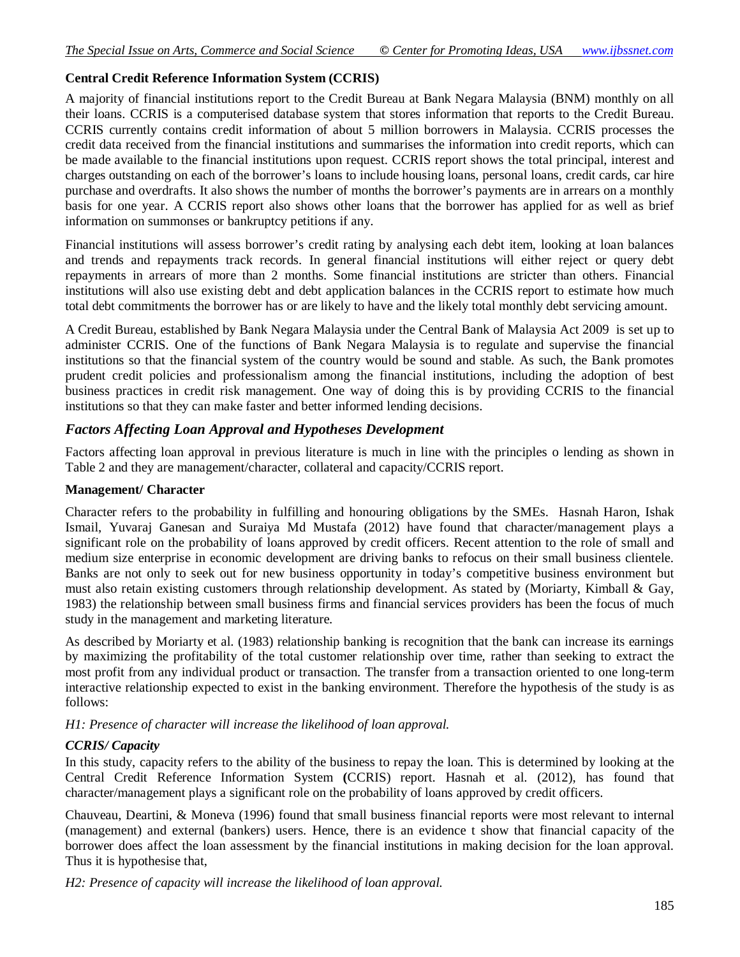#### **Central Credit Reference Information System (CCRIS)**

A majority of financial institutions report to the Credit Bureau at Bank Negara Malaysia (BNM) monthly on all their loans. CCRIS is a computerised database system that stores information that reports to the Credit Bureau. CCRIS currently contains credit information of about 5 million borrowers in Malaysia. CCRIS processes the credit data received from the financial institutions and summarises the information into credit reports, which can be made available to the financial institutions upon request. CCRIS report shows the total principal, interest and charges outstanding on each of the borrower's loans to include housing loans, personal loans, credit cards, car hire purchase and overdrafts. It also shows the number of months the borrower's payments are in arrears on a monthly basis for one year. A CCRIS report also shows other loans that the borrower has applied for as well as brief information on summonses or bankruptcy petitions if any.

Financial institutions will assess borrower's credit rating by analysing each debt item, looking at loan balances and trends and repayments track records. In general financial institutions will either reject or query debt repayments in arrears of more than 2 months. Some financial institutions are stricter than others. Financial institutions will also use existing debt and debt application balances in the CCRIS report to estimate how much total debt commitments the borrower has or are likely to have and the likely total monthly debt servicing amount.

A Credit Bureau, established by Bank Negara Malaysia under the Central Bank of Malaysia Act 2009 is set up to administer CCRIS. One of the functions of Bank Negara Malaysia is to regulate and supervise the financial institutions so that the financial system of the country would be sound and stable. As such, the Bank promotes prudent credit policies and professionalism among the financial institutions, including the adoption of best business practices in credit risk management. One way of doing this is by providing CCRIS to the financial institutions so that they can make faster and better informed lending decisions.

### *Factors Affecting Loan Approval and Hypotheses Development*

Factors affecting loan approval in previous literature is much in line with the principles o lending as shown in Table 2 and they are management/character, collateral and capacity/CCRIS report.

#### **Management/ Character**

Character refers to the probability in fulfilling and honouring obligations by the SMEs. Hasnah Haron, Ishak Ismail, Yuvaraj Ganesan and Suraiya Md Mustafa (2012) have found that character/management plays a significant role on the probability of loans approved by credit officers. Recent attention to the role of small and medium size enterprise in economic development are driving banks to refocus on their small business clientele. Banks are not only to seek out for new business opportunity in today's competitive business environment but must also retain existing customers through relationship development. As stated by (Moriarty, Kimball & Gay, 1983) the relationship between small business firms and financial services providers has been the focus of much study in the management and marketing literature.

As described by Moriarty et al. (1983) relationship banking is recognition that the bank can increase its earnings by maximizing the profitability of the total customer relationship over time, rather than seeking to extract the most profit from any individual product or transaction. The transfer from a transaction oriented to one long-term interactive relationship expected to exist in the banking environment. Therefore the hypothesis of the study is as follows:

*H1: Presence of character will increase the likelihood of loan approval.*

#### *CCRIS/ Capacity*

In this study, capacity refers to the ability of the business to repay the loan. This is determined by looking at the Central Credit Reference Information System **(**CCRIS) report. Hasnah et al. (2012), has found that character/management plays a significant role on the probability of loans approved by credit officers.

Chauveau, Deartini, & Moneva (1996) found that small business financial reports were most relevant to internal (management) and external (bankers) users. Hence, there is an evidence t show that financial capacity of the borrower does affect the loan assessment by the financial institutions in making decision for the loan approval. Thus it is hypothesise that,

*H2: Presence of capacity will increase the likelihood of loan approval.*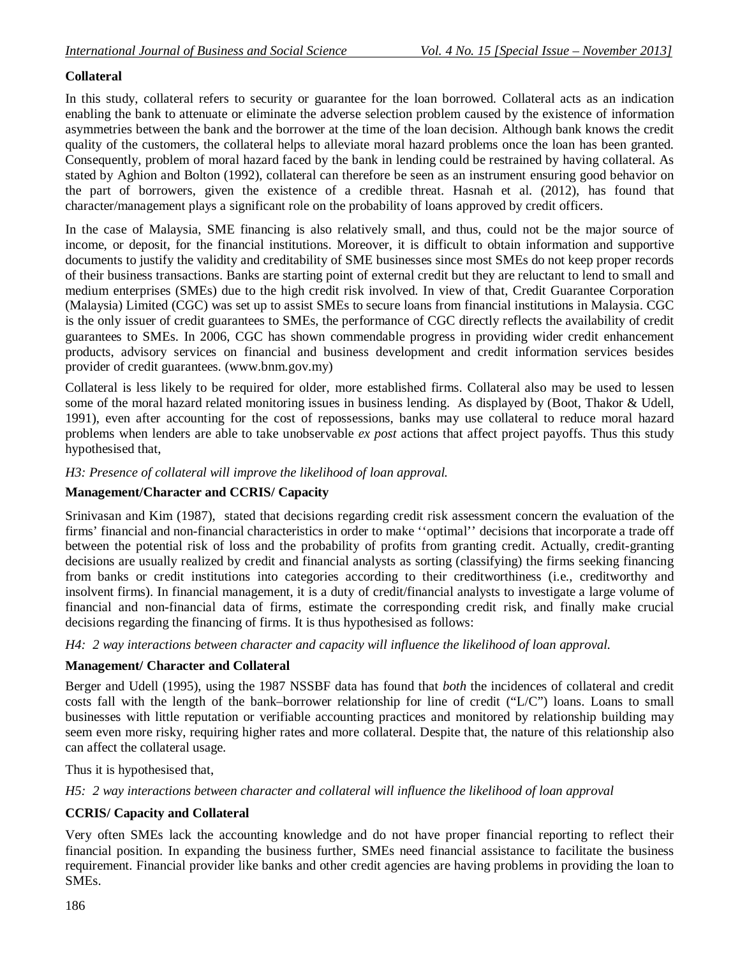### **Collateral**

In this study, collateral refers to security or guarantee for the loan borrowed. Collateral acts as an indication enabling the bank to attenuate or eliminate the adverse selection problem caused by the existence of information asymmetries between the bank and the borrower at the time of the loan decision. Although bank knows the credit quality of the customers, the collateral helps to alleviate moral hazard problems once the loan has been granted. Consequently, problem of moral hazard faced by the bank in lending could be restrained by having collateral. As stated by Aghion and Bolton (1992), collateral can therefore be seen as an instrument ensuring good behavior on the part of borrowers, given the existence of a credible threat. Hasnah et al. (2012), has found that character/management plays a significant role on the probability of loans approved by credit officers.

In the case of Malaysia, SME financing is also relatively small, and thus, could not be the major source of income, or deposit, for the financial institutions. Moreover, it is difficult to obtain information and supportive documents to justify the validity and creditability of SME businesses since most SMEs do not keep proper records of their business transactions. Banks are starting point of external credit but they are reluctant to lend to small and medium enterprises (SMEs) due to the high credit risk involved. In view of that, Credit Guarantee Corporation (Malaysia) Limited (CGC) was set up to assist SMEs to secure loans from financial institutions in Malaysia. CGC is the only issuer of credit guarantees to SMEs, the performance of CGC directly reflects the availability of credit guarantees to SMEs. In 2006, CGC has shown commendable progress in providing wider credit enhancement products, advisory services on financial and business development and credit information services besides provider of credit guarantees. (www.bnm.gov.my)

Collateral is less likely to be required for older, more established firms. Collateral also may be used to lessen some of the moral hazard related monitoring issues in business lending. As displayed by (Boot, Thakor & Udell, 1991), even after accounting for the cost of repossessions, banks may use collateral to reduce moral hazard problems when lenders are able to take unobservable *ex post* actions that affect project payoffs. Thus this study hypothesised that,

### *H3: Presence of collateral will improve the likelihood of loan approval.*

### **Management/Character and CCRIS/ Capacity**

Srinivasan and Kim (1987), stated that decisions regarding credit risk assessment concern the evaluation of the firms' financial and non-financial characteristics in order to make ''optimal'' decisions that incorporate a trade off between the potential risk of loss and the probability of profits from granting credit. Actually, credit-granting decisions are usually realized by credit and financial analysts as sorting (classifying) the firms seeking financing from banks or credit institutions into categories according to their creditworthiness (i.e., creditworthy and insolvent firms). In financial management, it is a duty of credit/financial analysts to investigate a large volume of financial and non-financial data of firms, estimate the corresponding credit risk, and finally make crucial decisions regarding the financing of firms. It is thus hypothesised as follows:

*H4: 2 way interactions between character and capacity will influence the likelihood of loan approval.*

#### **Management/ Character and Collateral**

Berger and Udell (1995), using the 1987 NSSBF data has found that *both* the incidences of collateral and credit costs fall with the length of the bank–borrower relationship for line of credit ("L/C") loans. Loans to small businesses with little reputation or verifiable accounting practices and monitored by relationship building may seem even more risky, requiring higher rates and more collateral. Despite that, the nature of this relationship also can affect the collateral usage.

Thus it is hypothesised that,

*H5: 2 way interactions between character and collateral will influence the likelihood of loan approval*

#### **CCRIS/ Capacity and Collateral**

Very often SMEs lack the accounting knowledge and do not have proper financial reporting to reflect their financial position. In expanding the business further, SMEs need financial assistance to facilitate the business requirement. Financial provider like banks and other credit agencies are having problems in providing the loan to SMEs.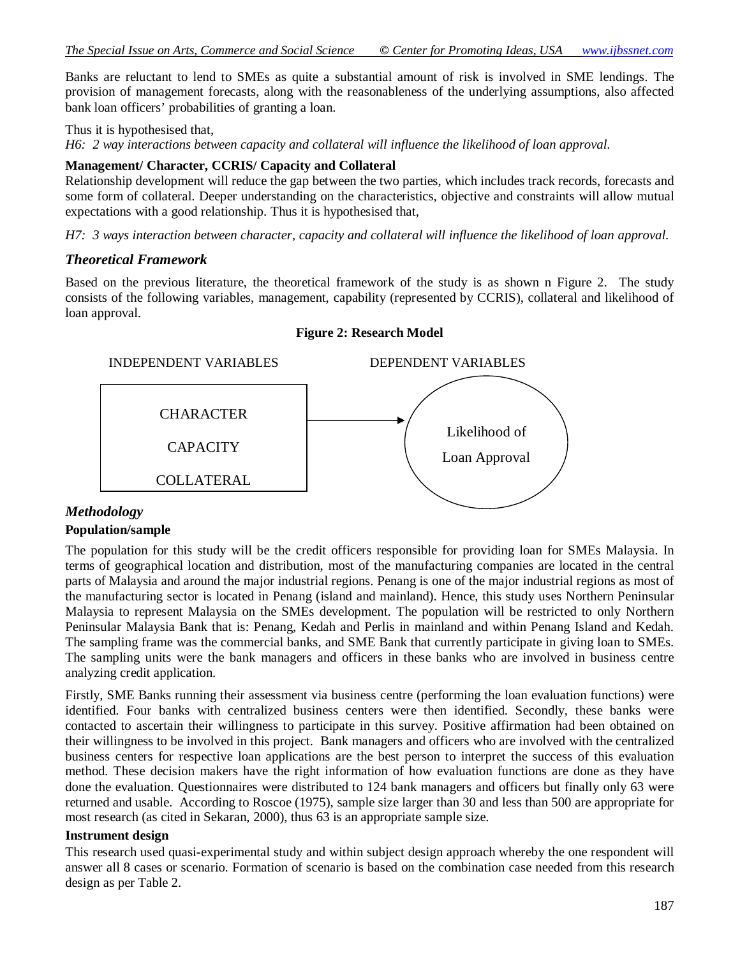Banks are reluctant to lend to SMEs as quite a substantial amount of risk is involved in SME lendings. The provision of management forecasts, along with the reasonableness of the underlying assumptions, also affected bank loan officers' probabilities of granting a loan.

Thus it is hypothesised that,

*H6: 2 way interactions between capacity and collateral will influence the likelihood of loan approval.*

#### **Management/ Character, CCRIS/ Capacity and Collateral**

Relationship development will reduce the gap between the two parties, which includes track records, forecasts and some form of collateral. Deeper understanding on the characteristics, objective and constraints will allow mutual expectations with a good relationship. Thus it is hypothesised that,

*H7: 3 ways interaction between character, capacity and collateral will influence the likelihood of loan approval.*

### *Theoretical Framework*

Based on the previous literature, the theoretical framework of the study is as shown n Figure 2. The study consists of the following variables, management, capability (represented by CCRIS), collateral and likelihood of loan approval.



#### **Figure 2: Research Model**

### *Methodology*

#### **Population/sample**

The population for this study will be the credit officers responsible for providing loan for SMEs Malaysia. In terms of geographical location and distribution, most of the manufacturing companies are located in the central parts of Malaysia and around the major industrial regions. Penang is one of the major industrial regions as most of the manufacturing sector is located in Penang (island and mainland). Hence, this study uses Northern Peninsular Malaysia to represent Malaysia on the SMEs development. The population will be restricted to only Northern Peninsular Malaysia Bank that is: Penang, Kedah and Perlis in mainland and within Penang Island and Kedah. The sampling frame was the commercial banks, and SME Bank that currently participate in giving loan to SMEs. The sampling units were the bank managers and officers in these banks who are involved in business centre analyzing credit application.

Firstly, SME Banks running their assessment via business centre (performing the loan evaluation functions) were identified. Four banks with centralized business centers were then identified. Secondly, these banks were contacted to ascertain their willingness to participate in this survey. Positive affirmation had been obtained on their willingness to be involved in this project. Bank managers and officers who are involved with the centralized business centers for respective loan applications are the best person to interpret the success of this evaluation method. These decision makers have the right information of how evaluation functions are done as they have done the evaluation. Questionnaires were distributed to 124 bank managers and officers but finally only 63 were returned and usable. According to Roscoe (1975), sample size larger than 30 and less than 500 are appropriate for most research (as cited in Sekaran, 2000), thus 63 is an appropriate sample size.

#### **Instrument design**

This research used quasi-experimental study and within subject design approach whereby the one respondent will answer all 8 cases or scenario. Formation of scenario is based on the combination case needed from this research design as per Table 2.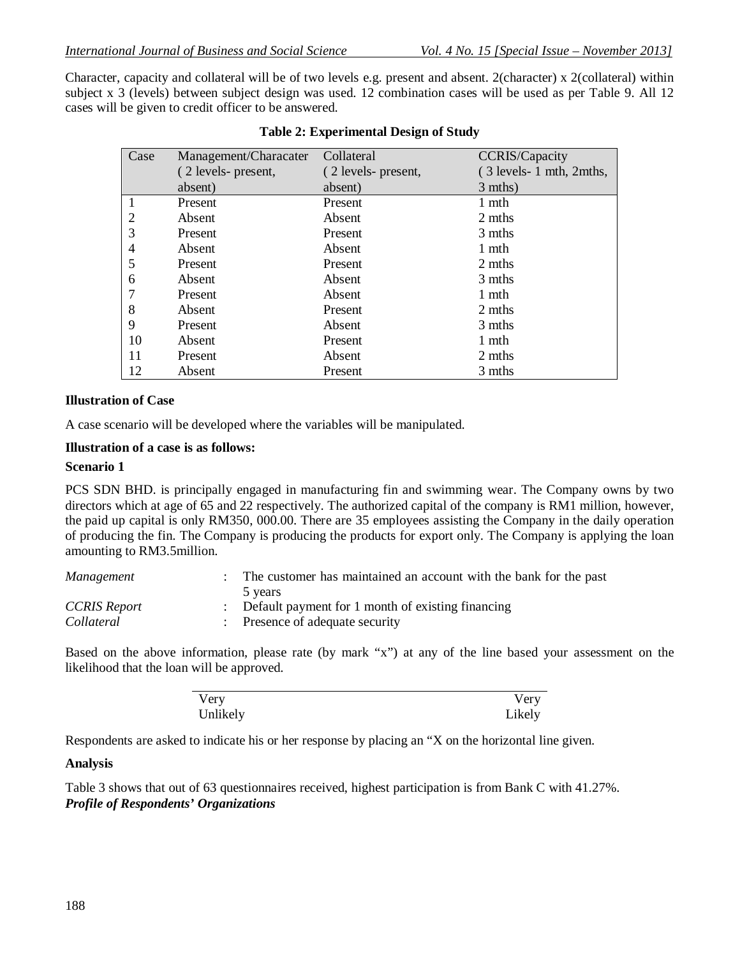Character, capacity and collateral will be of two levels e.g. present and absent. 2(character) x 2(collateral) within subject x 3 (levels) between subject design was used. 12 combination cases will be used as per Table 9. All 12 cases will be given to credit officer to be answered.

| Case | Management/Characater | Collateral          | <b>CCRIS/Capacity</b>   |
|------|-----------------------|---------------------|-------------------------|
|      | (2 levels- present,   | (2 levels- present, | (3 levels-1 mth, 2mths, |
|      | absent)               | absent)             | 3 mths)                 |
|      | Present               | Present             | 1 mth                   |
| 2    | Absent                | Absent              | 2 mths                  |
| 3    | Present               | Present             | 3 mths                  |
| 4    | Absent                | Absent              | 1 mth                   |
| 5    | Present               | Present             | 2 mths                  |
| 6    | Absent                | Absent              | 3 mths                  |
| 7    | Present               | Absent              | 1 mth                   |
| 8    | Absent                | Present             | 2 mths                  |
| 9    | Present               | Absent              | 3 mths                  |
| 10   | Absent                | Present             | 1 mth                   |
| 11   | Present               | Absent              | 2 mths                  |
| 12   | Absent                | Present             | 3 mths                  |

#### **Table 2: Experimental Design of Study**

#### **Illustration of Case**

A case scenario will be developed where the variables will be manipulated.

#### **Illustration of a case is as follows:**

#### **Scenario 1**

PCS SDN BHD. is principally engaged in manufacturing fin and swimming wear. The Company owns by two directors which at age of 65 and 22 respectively. The authorized capital of the company is RM1 million, however, the paid up capital is only RM350, 000.00. There are 35 employees assisting the Company in the daily operation of producing the fin. The Company is producing the products for export only. The Company is applying the loan amounting to RM3.5million.

| Management   | The customer has maintained an account with the bank for the past |
|--------------|-------------------------------------------------------------------|
|              | 5 years                                                           |
| CCRIS Report | : Default payment for 1 month of existing financing               |
| Collateral   | : Presence of adequate security                                   |

Based on the above information, please rate (by mark "x") at any of the line based your assessment on the likelihood that the loan will be approved.

| Very     | Very   |
|----------|--------|
| Unlikely | Likely |

Respondents are asked to indicate his or her response by placing an "X on the horizontal line given.

#### **Analysis**

Table 3 shows that out of 63 questionnaires received, highest participation is from Bank C with 41.27%. *Profile of Respondents' Organizations*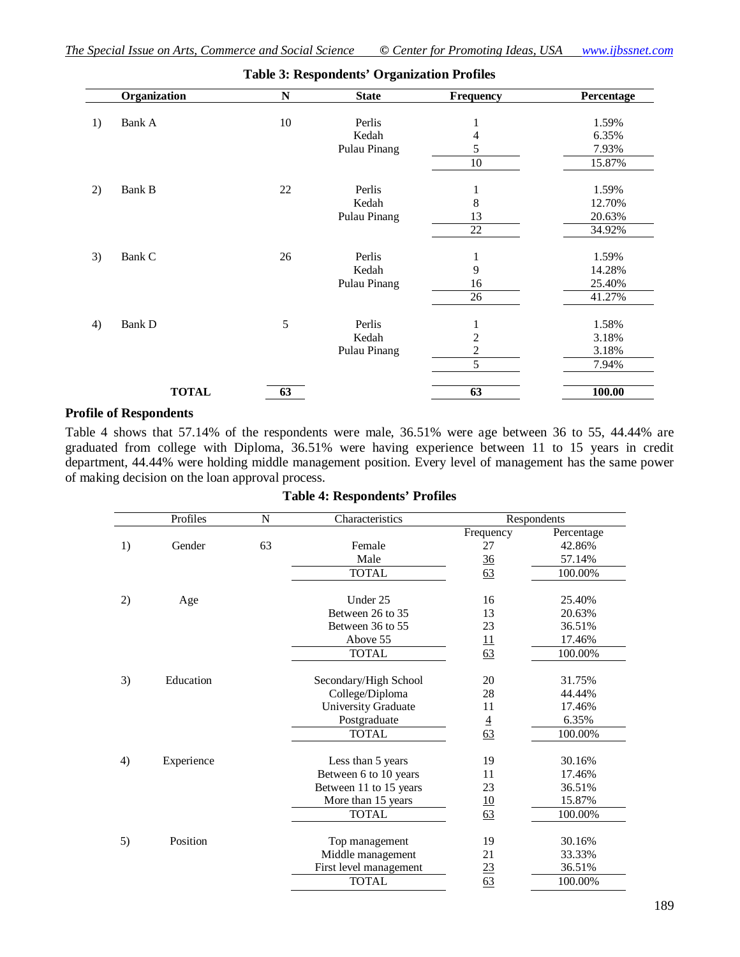|    | Organization | N          | <b>State</b> | Frequency      | Percentage |
|----|--------------|------------|--------------|----------------|------------|
| 1) | Bank A       | $10\,$     | Perlis       |                | 1.59%      |
|    |              |            | Kedah        | 4              | 6.35%      |
|    |              |            | Pulau Pinang | 5              | 7.93%      |
|    |              |            |              | $10\,$         | 15.87%     |
| 2) | Bank B       | $22\,$     | Perlis       | 1              | 1.59%      |
|    |              |            | Kedah        | 8              | 12.70%     |
|    |              |            | Pulau Pinang | 13             | 20.63%     |
|    |              |            |              | 22             | 34.92%     |
| 3) | Bank C       | 26         | Perlis       | 1              | 1.59%      |
|    |              |            | Kedah        | 9              | 14.28%     |
|    |              |            | Pulau Pinang | 16             | 25.40%     |
|    |              |            |              | 26             | 41.27%     |
| 4) | Bank D       | $\sqrt{5}$ | Perlis       |                | 1.58%      |
|    |              |            | Kedah        | 2              | 3.18%      |
|    |              |            | Pulau Pinang | $\overline{c}$ | 3.18%      |
|    |              |            |              | 5              | 7.94%      |
|    | <b>TOTAL</b> | 63         |              | 63             | 100.00     |

### **Table 3: Respondents' Organization Profiles**

#### **Profile of Respondents**

Table 4 shows that 57.14% of the respondents were male, 36.51% were age between 36 to 55, 44.44% are graduated from college with Diploma, 36.51% were having experience between 11 to 15 years in credit department, 44.44% were holding middle management position. Every level of management has the same power of making decision on the loan approval process.

|    | Profiles   | N  | Characteristics        |                | Respondents |
|----|------------|----|------------------------|----------------|-------------|
|    |            |    |                        | Frequency      | Percentage  |
| 1) | Gender     | 63 | Female                 | 27             | 42.86%      |
|    |            |    | Male                   | 36             | 57.14%      |
|    |            |    | <b>TOTAL</b>           | 63             | 100.00%     |
| 2) | Age        |    | Under 25               | 16             | 25.40%      |
|    |            |    | Between 26 to 35       | 13             | 20.63%      |
|    |            |    | Between 36 to 55       | 23             | 36.51%      |
|    |            |    | Above 55               | <u>11</u>      | 17.46%      |
|    |            |    | <b>TOTAL</b>           | 63             | 100.00%     |
| 3) | Education  |    | Secondary/High School  | 20             | 31.75%      |
|    |            |    | College/Diploma        | 28             | 44.44%      |
|    |            |    | University Graduate    | 11             | 17.46%      |
|    |            |    | Postgraduate           | $\overline{4}$ | 6.35%       |
|    |            |    | <b>TOTAL</b>           | 63             | 100.00%     |
|    |            |    |                        |                |             |
| 4) | Experience |    | Less than 5 years      | 19             | 30.16%      |
|    |            |    | Between 6 to 10 years  | 11             | 17.46%      |
|    |            |    | Between 11 to 15 years | 23             | 36.51%      |
|    |            |    | More than 15 years     | <u>10</u>      | 15.87%      |
|    |            |    | <b>TOTAL</b>           | 63             | 100.00%     |
| 5) | Position   |    | Top management         | 19             | 30.16%      |
|    |            |    | Middle management      | 21             | 33.33%      |
|    |            |    | First level management | <u>23</u>      | 36.51%      |
|    |            |    | <b>TOTAL</b>           | 63             | 100.00%     |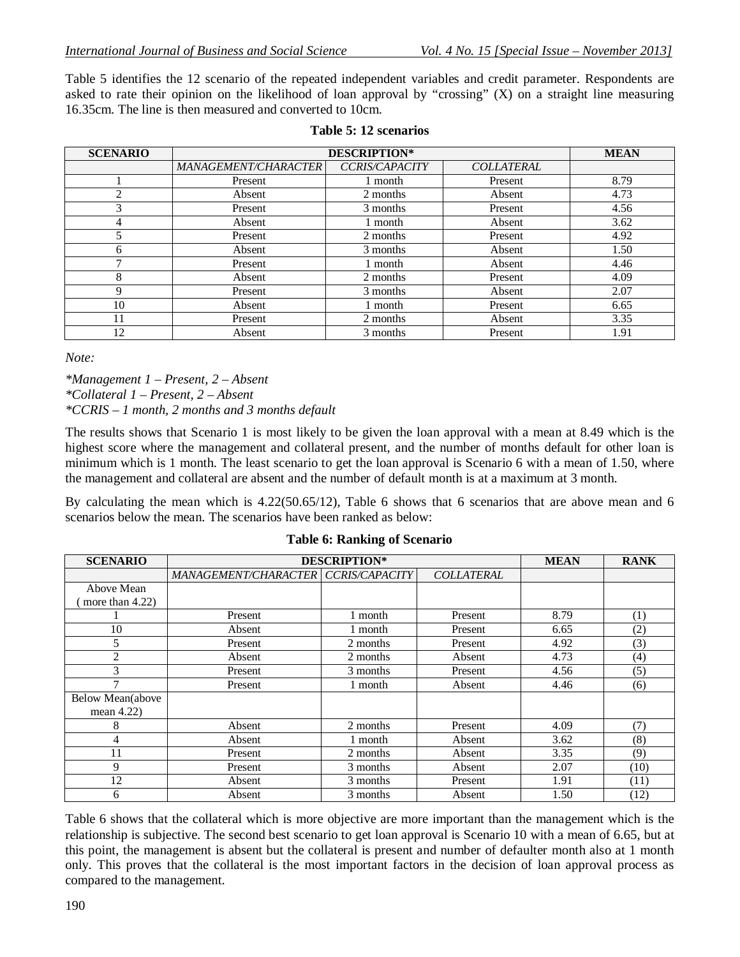Table 5 identifies the 12 scenario of the repeated independent variables and credit parameter. Respondents are asked to rate their opinion on the likelihood of loan approval by "crossing" (X) on a straight line measuring 16.35cm. The line is then measured and converted to 10cm.

| <b>SCENARIO</b> | <b>DESCRIPTION*</b>  | <b>MEAN</b>           |                   |      |
|-----------------|----------------------|-----------------------|-------------------|------|
|                 | MANAGEMENT/CHARACTER | <b>CCRIS/CAPACITY</b> | <b>COLLATERAL</b> |      |
|                 | Present              | 1 month               | Present           | 8.79 |
| ∍               | Absent               | 2 months              | Absent            | 4.73 |
| 3               | Present              | 3 months              | Present           | 4.56 |
| 4               | Absent               | 1 month               | Absent            | 3.62 |
| 5               | Present              | 2 months              | Present           | 4.92 |
| 6               | Absent               | 3 months              | Absent            | 1.50 |
| $\mathbf{r}$    | Present              | 1 month               | Absent            | 4.46 |
| 8               | Absent               | 2 months              | Present           | 4.09 |
| 9               | Present              | 3 months              | Absent            | 2.07 |
| 10              | Absent               | 1 month               | Present           | 6.65 |
|                 | Present              | 2 months              | Absent            | 3.35 |
| 12              | Absent               | 3 months              | Present           | 1.91 |

#### **Table 5: 12 scenarios**

*Note:*

*\*Management 1 – Present, 2 – Absent \*Collateral 1 – Present, 2 – Absent \*CCRIS – 1 month, 2 months and 3 months default*

The results shows that Scenario 1 is most likely to be given the loan approval with a mean at 8.49 which is the highest score where the management and collateral present, and the number of months default for other loan is minimum which is 1 month. The least scenario to get the loan approval is Scenario 6 with a mean of 1.50, where the management and collateral are absent and the number of default month is at a maximum at 3 month.

By calculating the mean which is 4.22(50.65/12), Table 6 shows that 6 scenarios that are above mean and 6 scenarios below the mean. The scenarios have been ranked as below:

| <b>SCENARIO</b>    | <b>DESCRIPTION*</b>         | <b>MEAN</b>           | <b>RANK</b>       |      |                   |
|--------------------|-----------------------------|-----------------------|-------------------|------|-------------------|
|                    | <b>MANAGEMENT/CHARACTER</b> | <b>CCRIS/CAPACITY</b> | <b>COLLATERAL</b> |      |                   |
| Above Mean         |                             |                       |                   |      |                   |
| more than $4.22$ ) |                             |                       |                   |      |                   |
|                    | Present                     | 1 month               | Present           | 8.79 | (1)               |
| 10                 | Absent                      | 1 month               | Present           | 6.65 | (2)               |
| 5                  | Present                     | 2 months              | Present           | 4.92 | (3)               |
| 2                  | Absent                      | 2 months              | Absent            | 4.73 | $\left( 4\right)$ |
| 3                  | Present                     | 3 months              | Present           | 4.56 | (5)               |
| -                  | Present                     | 1 month               | Absent            | 4.46 | (6)               |
| Below Mean(above   |                             |                       |                   |      |                   |
| mean $4.22$ )      |                             |                       |                   |      |                   |
| 8                  | Absent                      | 2 months              | Present           | 4.09 | (7)               |
| 4                  | Absent                      | 1 month               | Absent            | 3.62 | (8)               |
| 11                 | Present                     | 2 months              | Absent            | 3.35 | (9)               |
| 9                  | Present                     | 3 months              | Absent            | 2.07 | (10)              |
| 12                 | Absent                      | 3 months              | Present           | 1.91 | (11)              |
| 6                  | Absent                      | 3 months              | Absent            | 1.50 | (12)              |

**Table 6: Ranking of Scenario**

Table 6 shows that the collateral which is more objective are more important than the management which is the relationship is subjective. The second best scenario to get loan approval is Scenario 10 with a mean of 6.65, but at this point, the management is absent but the collateral is present and number of defaulter month also at 1 month only. This proves that the collateral is the most important factors in the decision of loan approval process as compared to the management.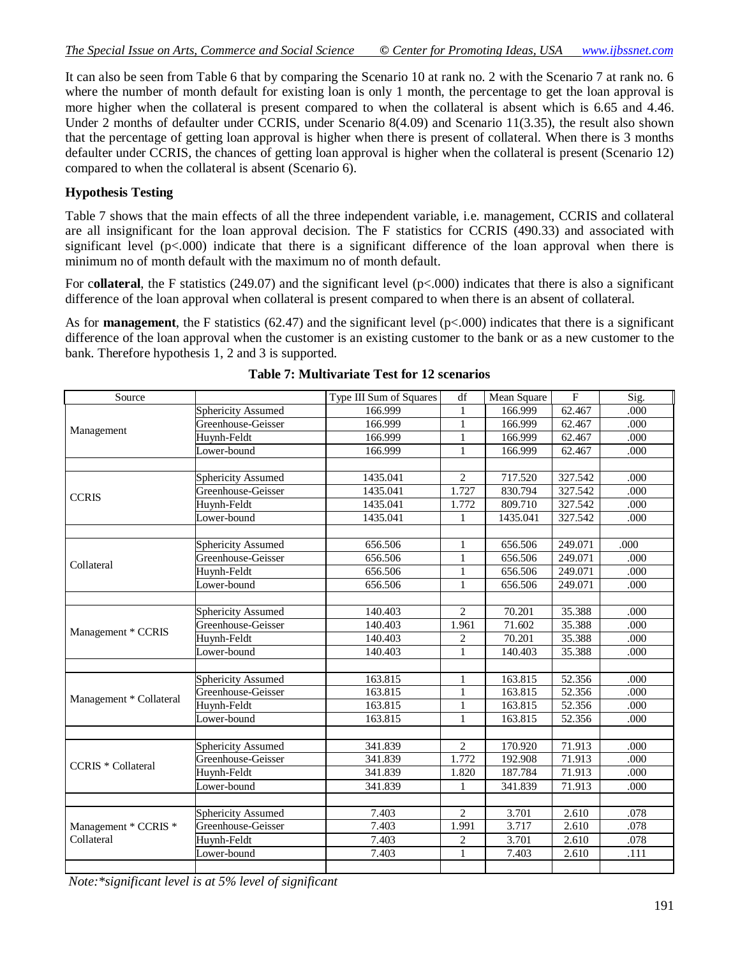It can also be seen from Table 6 that by comparing the Scenario 10 at rank no. 2 with the Scenario 7 at rank no. 6 where the number of month default for existing loan is only 1 month, the percentage to get the loan approval is more higher when the collateral is present compared to when the collateral is absent which is 6.65 and 4.46. Under 2 months of defaulter under CCRIS, under Scenario 8(4.09) and Scenario 11(3.35), the result also shown that the percentage of getting loan approval is higher when there is present of collateral. When there is 3 months defaulter under CCRIS, the chances of getting loan approval is higher when the collateral is present (Scenario 12) compared to when the collateral is absent (Scenario 6).

### **Hypothesis Testing**

Table 7 shows that the main effects of all the three independent variable, i.e. management, CCRIS and collateral are all insignificant for the loan approval decision. The F statistics for CCRIS (490.33) and associated with significant level  $(p<.000)$  indicate that there is a significant difference of the loan approval when there is minimum no of month default with the maximum no of month default.

For collateral, the F statistics (249.07) and the significant level  $(p< .000)$  indicates that there is also a significant difference of the loan approval when collateral is present compared to when there is an absent of collateral.

As for **management**, the F statistics (62.47) and the significant level (p<.000) indicates that there is a significant difference of the loan approval when the customer is an existing customer to the bank or as a new customer to the bank. Therefore hypothesis 1, 2 and 3 is supported.

| Source                    |                           | Type III Sum of Squares | df             | Mean Square | $\overline{F}$ | Sig.  |
|---------------------------|---------------------------|-------------------------|----------------|-------------|----------------|-------|
|                           | Sphericity Assumed        | 166.999                 | $\mathbf{1}$   | 166.999     | 62.467         | .000  |
|                           | Greenhouse-Geisser        | 166.999                 | 1              | 166.999     | 62.467         | .000  |
| Management                | Huynh-Feldt               | 166.999                 | 1              | 166.999     | 62.467         | .000  |
|                           | Lower-bound               | 166.999                 | 1              | 166.999     | 62.467         | .000  |
|                           |                           |                         |                |             |                |       |
|                           | <b>Sphericity Assumed</b> | 1435.041                | 2              | 717.520     | 327.542        | .000  |
| <b>CCRIS</b>              | Greenhouse-Geisser        | 1435.041                | 1.727          | 830.794     | 327.542        | .000  |
|                           | Huynh-Feldt               | 1435.041                | 1.772          | 809.710     | 327.542        | .000  |
|                           | Lower-bound               | 1435.041                | 1              | 1435.041    | 327.542        | .000  |
|                           |                           |                         |                |             |                |       |
|                           | <b>Sphericity Assumed</b> | 656.506                 | 1              | 656.506     | 249.071        | .000  |
| Collateral                | Greenhouse-Geisser        | 656.506                 | $\mathbf{1}$   | 656.506     | 249.071        | .000  |
|                           | Huynh-Feldt               | 656.506                 | 1              | 656.506     | 249.071        | .000  |
|                           | Lower-bound               | 656.506                 | 1              | 656.506     | 249.071        | .000  |
|                           |                           |                         |                |             |                |       |
|                           | <b>Sphericity Assumed</b> | 140.403                 | $\overline{2}$ | 70.201      | 35.388         | .000  |
| Management * CCRIS        | Greenhouse-Geisser        | 140.403                 | 1.961          | 71.602      | 35.388         | .000  |
|                           | Huynh-Feldt               | 140.403                 | $\overline{c}$ | 70.201      | 35.388         | .000  |
|                           | Lower-bound               | 140.403                 | $\mathbf{1}$   | 140.403     | 35.388         | .000  |
|                           |                           |                         |                |             |                |       |
|                           | <b>Sphericity Assumed</b> | 163.815                 | 1              | 163.815     | 52.356         | .000  |
| Management * Collateral   | Greenhouse-Geisser        | 163.815                 | $\mathbf{1}$   | 163.815     | 52.356         | .000  |
|                           | Huynh-Feldt               | 163.815                 | 1              | 163.815     | 52.356         | .000. |
|                           | Lower-bound               | 163.815                 | 1              | 163.815     | 52.356         | .000  |
|                           |                           |                         |                |             |                |       |
|                           | <b>Sphericity Assumed</b> | 341.839                 | 2              | 170.920     | 71.913         | .000  |
| <b>CCRIS</b> * Collateral | Greenhouse-Geisser        | 341.839                 | 1.772          | 192.908     | 71.913         | .000  |
|                           | Huynh-Feldt               | 341.839                 | 1.820          | 187.784     | 71.913         | .000  |
|                           | Lower-bound               | 341.839                 | $\mathbf{1}$   | 341.839     | 71.913         | .000  |
|                           |                           |                         |                |             |                |       |
|                           | <b>Sphericity Assumed</b> | 7.403                   | $\overline{c}$ | 3.701       | 2.610          | .078  |
| Management * CCRIS *      | Greenhouse-Geisser        | 7.403                   | 1.991          | 3.717       | 2.610          | .078  |
| Collateral                | Huynh-Feldt               | 7.403                   | $\overline{c}$ | 3.701       | 2.610          | .078  |
|                           | Lower-bound               | 7.403                   | $\mathbf{1}$   | 7.403       | 2.610          | .111  |
|                           |                           |                         |                |             |                |       |

**Table 7: Multivariate Test for 12 scenarios**

*Note:\*significant level is at 5% level of significant*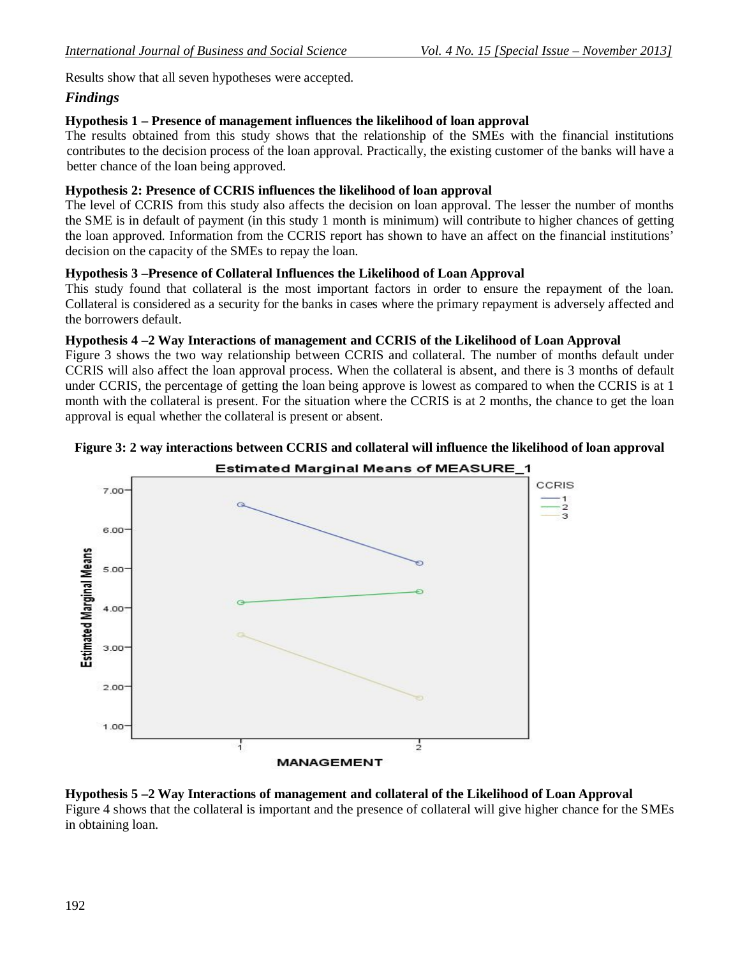Results show that all seven hypotheses were accepted.

### *Findings*

### **Hypothesis 1 – Presence of management influences the likelihood of loan approval**

The results obtained from this study shows that the relationship of the SMEs with the financial institutions contributes to the decision process of the loan approval. Practically, the existing customer of the banks will have a better chance of the loan being approved.

#### **Hypothesis 2: Presence of CCRIS influences the likelihood of loan approval**

The level of CCRIS from this study also affects the decision on loan approval. The lesser the number of months the SME is in default of payment (in this study 1 month is minimum) will contribute to higher chances of getting the loan approved. Information from the CCRIS report has shown to have an affect on the financial institutions' decision on the capacity of the SMEs to repay the loan.

### **Hypothesis 3 –Presence of Collateral Influences the Likelihood of Loan Approval**

This study found that collateral is the most important factors in order to ensure the repayment of the loan. Collateral is considered as a security for the banks in cases where the primary repayment is adversely affected and the borrowers default.

### **Hypothesis 4 –2 Way Interactions of management and CCRIS of the Likelihood of Loan Approval**

Figure 3 shows the two way relationship between CCRIS and collateral. The number of months default under CCRIS will also affect the loan approval process. When the collateral is absent, and there is 3 months of default under CCRIS, the percentage of getting the loan being approve is lowest as compared to when the CCRIS is at 1 month with the collateral is present. For the situation where the CCRIS is at 2 months, the chance to get the loan approval is equal whether the collateral is present or absent.





#### **Hypothesis 5 –2 Way Interactions of management and collateral of the Likelihood of Loan Approval**

Figure 4 shows that the collateral is important and the presence of collateral will give higher chance for the SMEs in obtaining loan.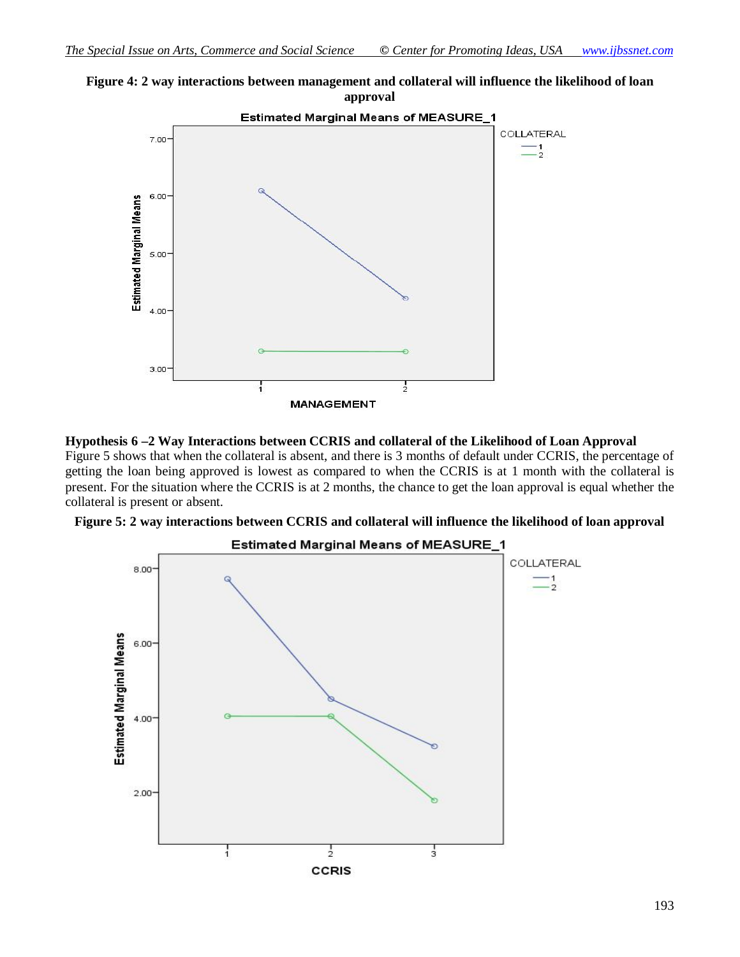



#### **Hypothesis 6 –2 Way Interactions between CCRIS and collateral of the Likelihood of Loan Approval**

Figure 5 shows that when the collateral is absent, and there is 3 months of default under CCRIS, the percentage of getting the loan being approved is lowest as compared to when the CCRIS is at 1 month with the collateral is present. For the situation where the CCRIS is at 2 months, the chance to get the loan approval is equal whether the collateral is present or absent.



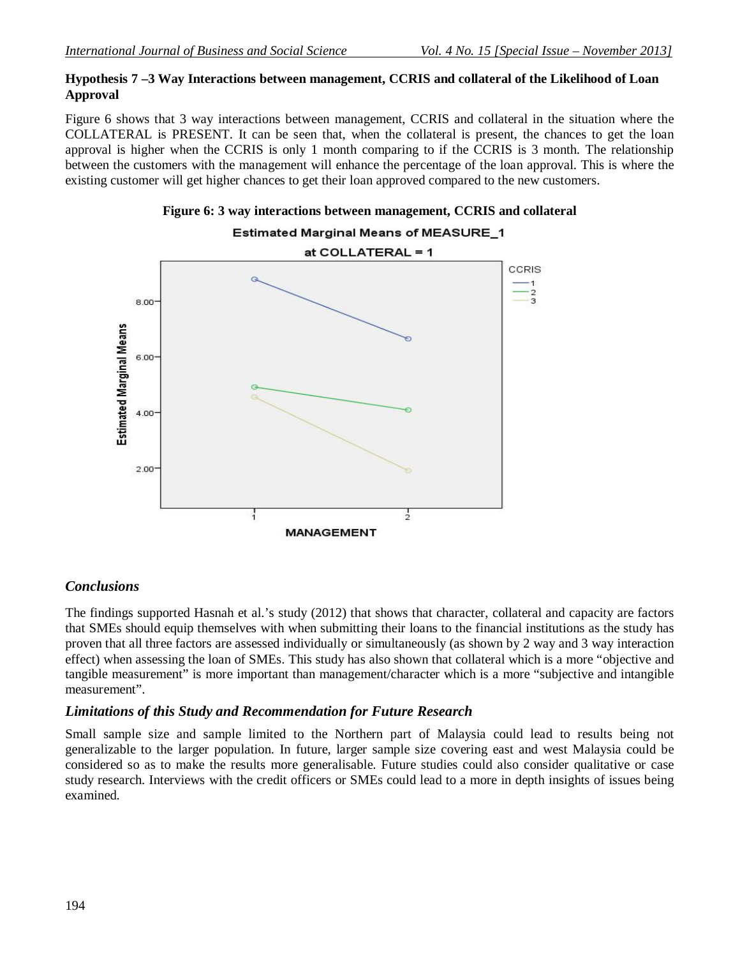### **Hypothesis 7 –3 Way Interactions between management, CCRIS and collateral of the Likelihood of Loan Approval**

Figure 6 shows that 3 way interactions between management, CCRIS and collateral in the situation where the COLLATERAL is PRESENT. It can be seen that, when the collateral is present, the chances to get the loan approval is higher when the CCRIS is only 1 month comparing to if the CCRIS is 3 month. The relationship between the customers with the management will enhance the percentage of the loan approval. This is where the existing customer will get higher chances to get their loan approved compared to the new customers.





# Estimated Marginal Means of MEASURE\_1

# *Conclusions*

The findings supported Hasnah et al.'s study (2012) that shows that character, collateral and capacity are factors that SMEs should equip themselves with when submitting their loans to the financial institutions as the study has proven that all three factors are assessed individually or simultaneously (as shown by 2 way and 3 way interaction effect) when assessing the loan of SMEs. This study has also shown that collateral which is a more "objective and tangible measurement" is more important than management/character which is a more "subjective and intangible measurement".

# *Limitations of this Study and Recommendation for Future Research*

Small sample size and sample limited to the Northern part of Malaysia could lead to results being not generalizable to the larger population. In future, larger sample size covering east and west Malaysia could be considered so as to make the results more generalisable. Future studies could also consider qualitative or case study research. Interviews with the credit officers or SMEs could lead to a more in depth insights of issues being examined.